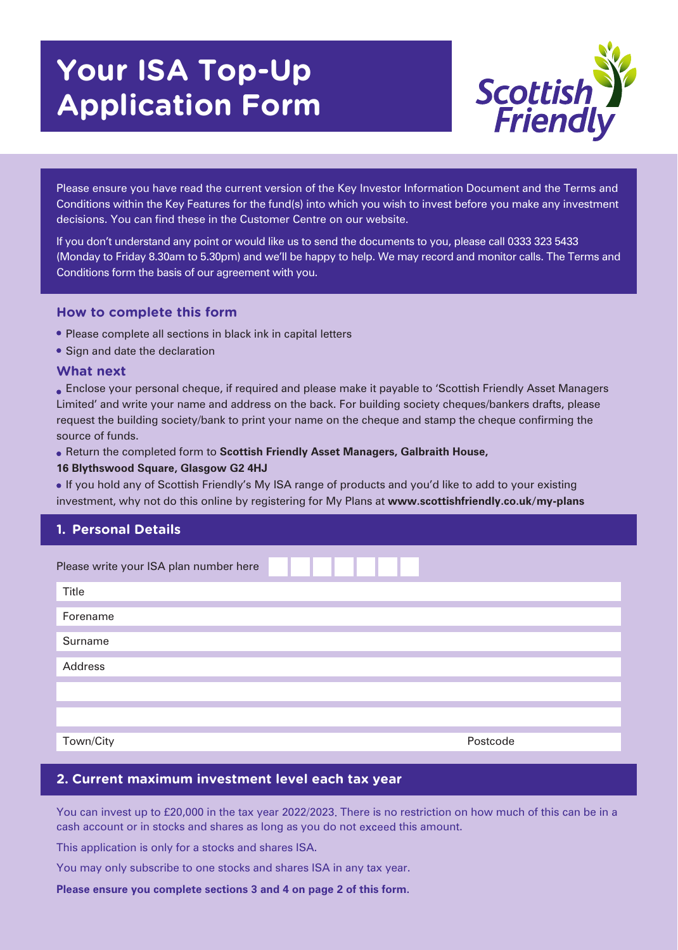# **Your ISA Top-Up Application Form**



Please ensure you have read the current version of the Key Investor Information Document and the Terms and Conditions within the Key Features for the fund(s) into which you wish to invest before you make any investment decisions. You can find these in the Customer Centre on our website.

If you don't understand any point or would like us to send the documents to you, please call 0333 323 5433 (Monday to Friday 8.30am to 5.30pm) and we'll be happy to help. We may record and monitor calls. The Terms and Conditions form the basis of our agreement with you.

#### **How to complete this form**

- Please complete all sections in black ink in capital letters
- Sign and date the declaration

#### **What next**

Enclose your personal cheque, if required and please make it payable to 'Scottish Friendly Asset Managers Limited' and write your name and address on the back. For building society cheques/bankers drafts, please request the building society/bank to print your name on the cheque and stamp the cheque confirming the source of funds.

Return the completed form to **Scottish Friendly Asset Managers, Galbraith House,** 

#### **16 Blythswood Square, Glasgow G2 4HJ**

If you hold any of Scottish Friendly's My ISA range of products and you'd like to add to your existing investment, why not do this online by registering for My Plans at **www.scottishfriendly.co.uk/my-plans**

## **1. Personal Details**

| Please write your ISA plan number here |  |          |  |
|----------------------------------------|--|----------|--|
| Title                                  |  |          |  |
| Forename                               |  |          |  |
| Surname                                |  |          |  |
| Address                                |  |          |  |
|                                        |  |          |  |
|                                        |  |          |  |
| Town/City                              |  | Postcode |  |

#### **2. Current maximum investment level each tax year**

You can invest up to £20,000 in the tax year 2022/2023 There is no restriction on how much of this can be in a cash account or in stocks and shares as long as you do not exceed this amount.

This application is only for a stocks and shares ISA.

You may only subscribe to one stocks and shares ISA in any tax year.

**Please ensure you complete sections 3 and 4 on page 2 of this form.**